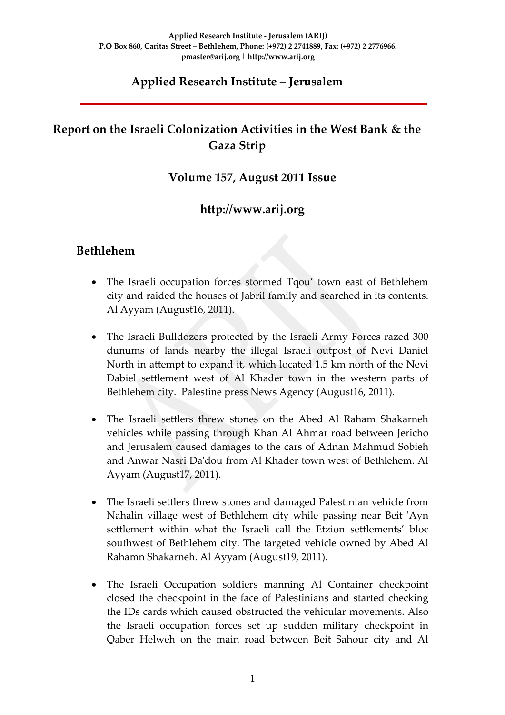## **Applied Research Institute – Jerusalem**

## **Report on the Israeli Colonization Activities in the West Bank & the Gaza Strip**

## **Volume 157, August 2011 Issue**

## **http://www.arij.org**

### **Bethlehem**

- The Israeli occupation forces stormed Tqou' town east of Bethlehem city and raided the houses of Jabril family and searched in its contents. Al Ayyam (August16, 2011).
- The Israeli Bulldozers protected by the Israeli Army Forces razed 300 dunums of lands nearby the illegal Israeli outpost of Nevi Daniel North in attempt to expand it, which located 1.5 km north of the Nevi Dabiel settlement west of Al Khader town in the western parts of Bethlehem city. Palestine press News Agency (August16, 2011).
- The Israeli settlers threw stones on the Abed Al Raham Shakarneh vehicles while passing through Khan Al Ahmar road between Jericho and Jerusalem caused damages to the cars of Adnan Mahmud Sobieh and Anwar Nasri Daʹdou from Al Khader town west of Bethlehem. Al Ayyam (August17, 2011).
- The Israeli settlers threw stones and damaged Palestinian vehicle from Nahalin village west of Bethlehem city while passing near Beit 'Ayn settlement within what the Israeli call the Etzion settlements' bloc southwest of Bethlehem city. The targeted vehicle owned by Abed Al Rahamn Shakarneh. Al Ayyam (August19, 2011).
- The Israeli Occupation soldiers manning Al Container checkpoint closed the checkpoint in the face of Palestinians and started checking the IDs cards which caused obstructed the vehicular movements. Also the Israeli occupation forces set up sudden military checkpoint in Qaber Helweh on the main road between Beit Sahour city and Al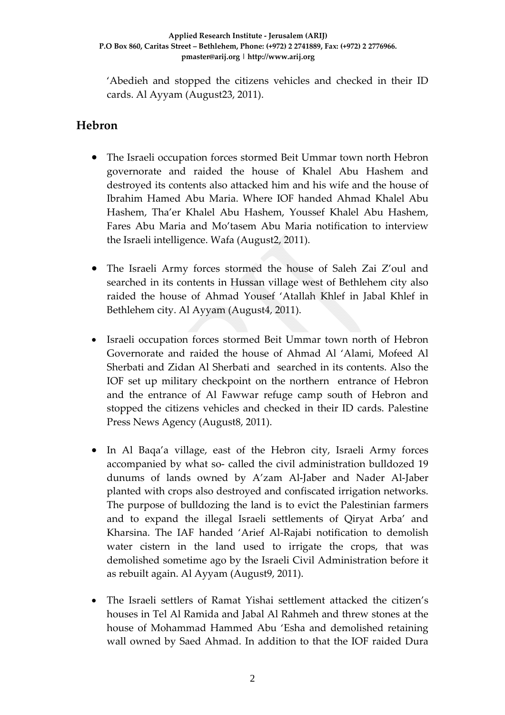'Abedieh and stopped the citizens vehicles and checked in their ID cards. Al Ayyam (August23, 2011).

## **Hebron**

- The Israeli occupation forces stormed Beit Ummar town north Hebron governorate and raided the house of Khalel Abu Hashem and destroyed its contents also attacked him and his wife and the house of Ibrahim Hamed Abu Maria. Where IOF handed Ahmad Khalel Abu Hashem, Tha'er Khalel Abu Hashem, Youssef Khalel Abu Hashem, Fares Abu Maria and Mo'tasem Abu Maria notification to interview the Israeli intelligence. Wafa (August2, 2011).
- The Israeli Army forces stormed the house of Saleh Zai Z'oul and searched in its contents in Hussan village west of Bethlehem city also raided the house of Ahmad Yousef 'Atallah Khlef in Jabal Khlef in Bethlehem city. Al Ayyam (August4, 2011).
- Israeli occupation forces stormed Beit Ummar town north of Hebron Governorate and raided the house of Ahmad Al 'Alami, Mofeed Al Sherbati and Zidan Al Sherbati and searched in its contents. Also the IOF set up military checkpoint on the northern entrance of Hebron and the entrance of Al Fawwar refuge camp south of Hebron and stopped the citizens vehicles and checked in their ID cards. Palestine Press News Agency (August 8, 2011).
- In Al Baqa'a village, east of the Hebron city, Israeli Army forces accompanied by what so‐ called the civil administration bulldozed 19 dunums of lands owned by A'zam Al‐Jaber and Nader Al‐Jaber planted with crops also destroyed and confiscated irrigation networks. The purpose of bulldozing the land is to evict the Palestinian farmers and to expand the illegal Israeli settlements of Qiryat Arba' and Kharsina. The IAF handed 'Arief Al-Rajabi notification to demolish water cistern in the land used to irrigate the crops, that was demolished sometime ago by the Israeli Civil Administration before it as rebuilt again. Al Ayyam (August9, 2011).
- The Israeli settlers of Ramat Yishai settlement attacked the citizen's houses in Tel Al Ramida and Jabal Al Rahmeh and threw stones at the house of Mohammad Hammed Abu 'Esha and demolished retaining wall owned by Saed Ahmad. In addition to that the IOF raided Dura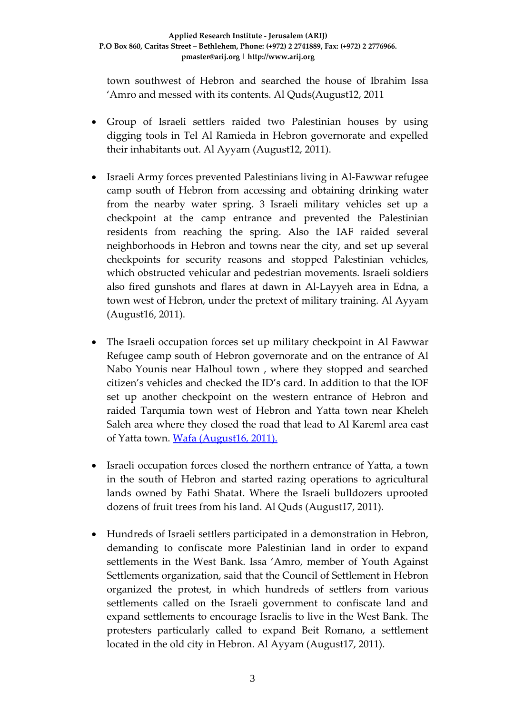town southwest of Hebron and searched the house of Ibrahim Issa 'Amro and messed with its contents. Al Quds(August12, 2011

- Group of Israeli settlers raided two Palestinian houses by using digging tools in Tel Al Ramieda in Hebron governorate and expelled their inhabitants out. Al Ayyam (August12, 2011).
- Israeli Army forces prevented Palestinians living in Al‐Fawwar refugee camp south of Hebron from accessing and obtaining drinking water from the nearby water spring. 3 Israeli military vehicles set up a checkpoint at the camp entrance and prevented the Palestinian residents from reaching the spring. Also the IAF raided several neighborhoods in Hebron and towns near the city, and set up several checkpoints for security reasons and stopped Palestinian vehicles, which obstructed vehicular and pedestrian movements. Israeli soldiers also fired gunshots and flares at dawn in Al‐Layyeh area in Edna, a town west of Hebron, under the pretext of military training. Al Ayyam (August16, 2011).
- The Israeli occupation forces set up military checkpoint in Al Fawwar Refugee camp south of Hebron governorate and on the entrance of Al Nabo Younis near Halhoul town , where they stopped and searched citizen's vehicles and checked the ID's card. In addition to that the IOF set up another checkpoint on the western entrance of Hebron and raided Tarqumia town west of Hebron and Yatta town near Kheleh Saleh area where they closed the road that lead to Al Kareml area east of Yatta town. Wafa [\(August16,](http://www.wafa.ps/arabic/index.php?action=detail&id=111086) 2011).
- Israeli occupation forces closed the northern entrance of Yatta, a town in the south of Hebron and started razing operations to agricultural lands owned by Fathi Shatat. Where the Israeli bulldozers uprooted dozens of fruit trees from his land. Al Quds (August17, 2011).
- Hundreds of Israeli settlers participated in a demonstration in Hebron, demanding to confiscate more Palestinian land in order to expand settlements in the West Bank. Issa 'Amro, member of Youth Against Settlements organization, said that the Council of Settlement in Hebron organized the protest, in which hundreds of settlers from various settlements called on the Israeli government to confiscate land and expand settlements to encourage Israelis to live in the West Bank. The protesters particularly called to expand Beit Romano, a settlement located in the old city in Hebron. Al Ayyam (August17, 2011).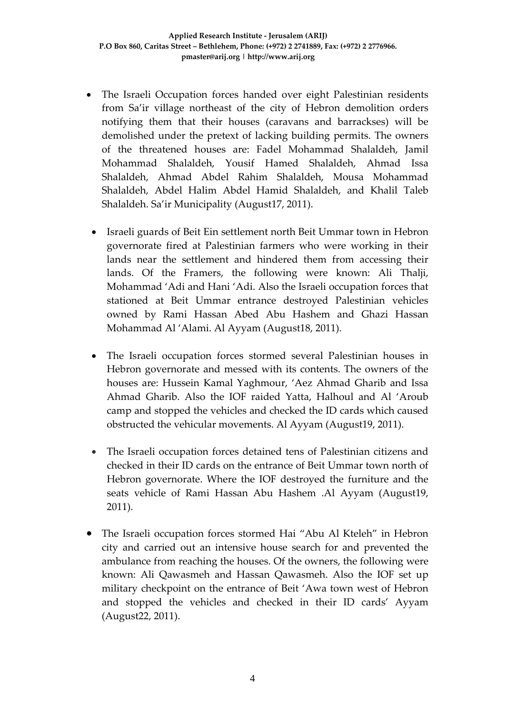- The Israeli Occupation forces handed over eight Palestinian residents from Sa'ir village northeast of the city of Hebron demolition orders notifying them that their houses (caravans and barrackses) will be demolished under the pretext of lacking building permits. The owners of the threatened houses are: Fadel Mohammad Shalaldeh, Jamil Mohammad Shalaldeh, Yousif Hamed Shalaldeh, Ahmad Issa Shalaldeh, Ahmad Abdel Rahim Shalaldeh, Mousa Mohammad Shalaldeh, Abdel Halim Abdel Hamid Shalaldeh, and Khalil Taleb Shalaldeh. Sa'ir Municipality (August17, 2011).
- Israeli guards of Beit Ein settlement north Beit Ummar town in Hebron governorate fired at Palestinian farmers who were working in their lands near the settlement and hindered them from accessing their lands. Of the Framers, the following were known: Ali Thalji, Mohammad 'Adi and Hani 'Adi. Also the Israeli occupation forces that stationed at Beit Ummar entrance destroyed Palestinian vehicles owned by Rami Hassan Abed Abu Hashem and Ghazi Hassan Mohammad Al 'Alami. Al Ayyam (August18, 2011).
- The Israeli occupation forces stormed several Palestinian houses in Hebron governorate and messed with its contents. The owners of the houses are: Hussein Kamal Yaghmour, 'Aez Ahmad Gharib and Issa Ahmad Gharib. Also the IOF raided Yatta, Halhoul and Al 'Aroub camp and stopped the vehicles and checked the ID cards which caused obstructed the vehicular movements. Al Ayyam (August19, 2011).
- The Israeli occupation forces detained tens of Palestinian citizens and checked in their ID cards on the entrance of Beit Ummar town north of Hebron governorate. Where the IOF destroyed the furniture and the seats vehicle of Rami Hassan Abu Hashem .Al Ayyam (August19, 2011).
- The Israeli occupation forces stormed Hai "Abu Al Kteleh" in Hebron city and carried out an intensive house search for and prevented the ambulance from reaching the houses. Of the owners, the following were known: Ali Qawasmeh and Hassan Qawasmeh. Also the IOF set up military checkpoint on the entrance of Beit 'Awa town west of Hebron and stopped the vehicles and checked in their ID cards' Ayyam (August22, 2011).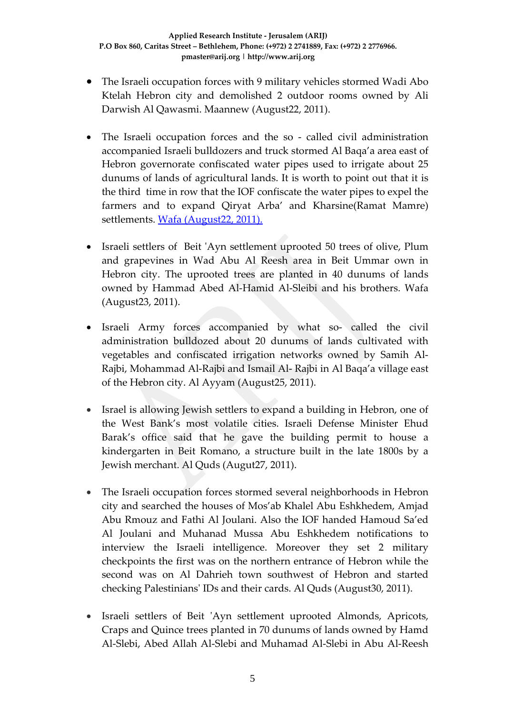- The Israeli occupation forces with 9 military vehicles stormed Wadi Abo Ktelah Hebron city and demolished 2 outdoor rooms owned by Ali Darwish Al Qawasmi. Maannew (August22, 2011).
- The Israeli occupation forces and the so called civil administration accompanied Israeli bulldozers and truck stormed Al Baqa'a area east of Hebron governorate confiscated water pipes used to irrigate about 25 dunums of lands of agricultural lands. It is worth to point out that it is the third time in row that the IOF confiscate the water pipes to expel the farmers and to expand Qiryat Arba' and Kharsine(Ramat Mamre) settlements. Wafa [\(August22,](http://www.wafa.ps/arabic/index.php?action=detail&id=111475) 2011).
- Israeli settlers of Beit ʹAyn settlement uprooted 50 trees of olive, Plum and grapevines in Wad Abu Al Reesh area in Beit Ummar own in Hebron city. The uprooted trees are planted in 40 dunums of lands owned by Hammad Abed Al‐Hamid Al‐Sleibi and his brothers. Wafa (August23, 2011).
- Israeli Army forces accompanied by what so‐ called the civil administration bulldozed about 20 dunums of lands cultivated with vegetables and confiscated irrigation networks owned by Samih Al‐ Rajbi, Mohammad Al‐Rajbi and Ismail Al‐ Rajbi in Al Baqa'a village east of the Hebron city. Al Ayyam (August25, 2011).
- Israel is allowing Jewish settlers to expand a building in Hebron, one of the West Bank's most volatile cities. Israeli Defense Minister Ehud Barak's office said that he gave the building permit to house a kindergarten in Beit Romano, a structure built in the late 1800s by a Jewish merchant. Al Quds (Augut27, 2011).
- The Israeli occupation forces stormed several neighborhoods in Hebron city and searched the houses of Mos'ab Khalel Abu Eshkhedem, Amjad Abu Rmouz and Fathi Al Joulani. Also the IOF handed Hamoud Sa'ed Al Joulani and Muhanad Mussa Abu Eshkhedem notifications to interview the Israeli intelligence. Moreover they set 2 military checkpoints the first was on the northern entrance of Hebron while the second was on Al Dahrieh town southwest of Hebron and started checking Palestiniansʹ IDs and their cards. Al Quds (August30, 2011).
- Israeli settlers of Beit 'Ayn settlement uprooted Almonds, Apricots, Craps and Quince trees planted in 70 dunums of lands owned by Hamd Al‐Slebi, Abed Allah Al‐Slebi and Muhamad Al‐Slebi in Abu Al‐Reesh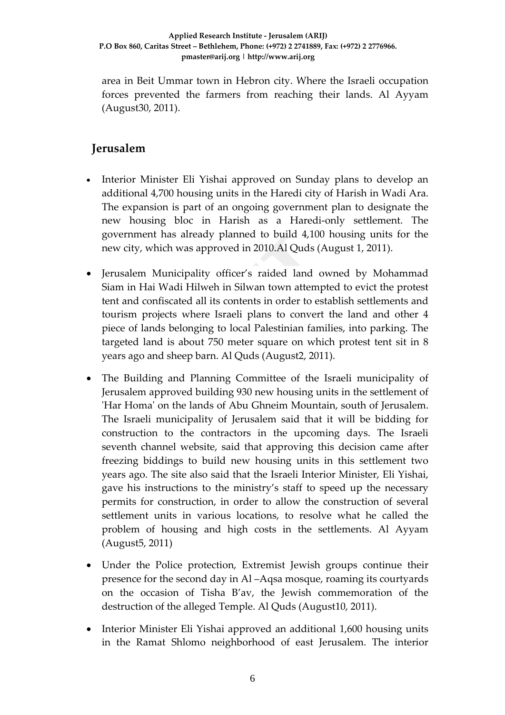area in Beit Ummar town in Hebron city. Where the Israeli occupation forces prevented the farmers from reaching their lands. Al Ayyam (August30, 2011).

## **Jerusalem**

- Interior Minister Eli Yishai approved on Sunday plans to develop an additional 4,700 housing units in the Haredi city of Harish in Wadi Ara. The expansion is part of an ongoing government plan to designate the new housing bloc in Harish as a Haredi‐only settlement. The government has already planned to build 4,100 housing units for the new city, which was approved in 2010.Al Quds (August 1, 2011).
- Jerusalem Municipality officer's raided land owned by Mohammad Siam in Hai Wadi Hilweh in Silwan town attempted to evict the protest tent and confiscated all its contents in order to establish settlements and tourism projects where Israeli plans to convert the land and other 4 piece of lands belonging to local Palestinian families, into parking. The targeted land is about 750 meter square on which protest tent sit in 8 years ago and sheep barn. Al Quds (August2, 2011).
- The Building and Planning Committee of the Israeli municipality of Jerusalem approved building 930 new housing units in the settlement of ʹHar Homaʹ on the lands of Abu Ghneim Mountain, south of Jerusalem. The Israeli municipality of Jerusalem said that it will be bidding for construction to the contractors in the upcoming days. The Israeli seventh channel website, said that approving this decision came after freezing biddings to build new housing units in this settlement two years ago. The site also said that the Israeli Interior Minister, Eli Yishai, gave his instructions to the ministry's staff to speed up the necessary permits for construction, in order to allow the construction of several settlement units in various locations, to resolve what he called the problem of housing and high costs in the settlements. Al Ayyam (August5, 2011)
- Under the Police protection, Extremist Jewish groups continue their presence for the second day in Al –Aqsa mosque, roaming its courtyards on the occasion of Tisha B'av, the Jewish commemoration of the destruction of the alleged Temple. Al Quds (August10, 2011).
- Interior Minister Eli Yishai approved an additional 1,600 housing units in the Ramat Shlomo neighborhood of east Jerusalem. The interior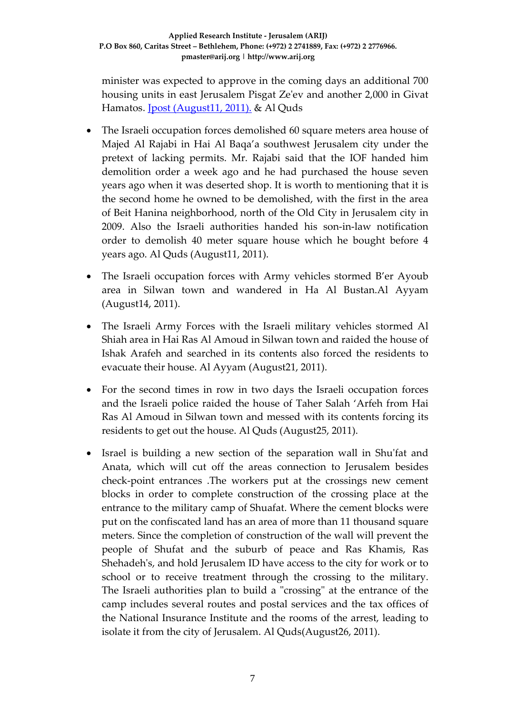minister was expected to approve in the coming days an additional 700 housing units in east Jerusalem Pisgat Zeʹev and another 2,000 in Givat Hamatos. Jpost (August11, 2011). & Al Quds

- The Israeli occupation forces demolished 60 square meters area house of Majed Al Rajabi in Hai Al Baqa'a southwest Jerusalem city under the pretext of lacking permits. Mr. Rajabi said that the IOF handed him demolition order a week ago and he had purchased the house seven years ago when it was deserted shop. It is worth to mentioning that it is the second home he owned to be demolished, with the first in the area of Beit Hanina neighborhood, north of the Old City in Jerusalem city in 2009. Also the Israeli authorities handed his son‐in‐law notification order to demolish 40 meter square house which he bought before 4 years ago. Al Quds (August11, 2011).
- The Israeli occupation forces with Army vehicles stormed B'er Ayoub area in Silwan town and wandered in Ha Al Bustan.Al Ayyam (August14, 2011).
- The Israeli Army Forces with the Israeli military vehicles stormed Al Shiah area in Hai Ras Al Amoud in Silwan town and raided the house of Ishak Arafeh and searched in its contents also forced the residents to evacuate their house. Al Ayyam (August21, 2011).
- For the second times in row in two days the Israeli occupation forces and the Israeli police raided the house of Taher Salah 'Arfeh from Hai Ras Al Amoud in Silwan town and messed with its contents forcing its residents to get out the house. Al Quds (August25, 2011).
- Israel is building a new section of the separation wall in Shu'fat and Anata, which will cut off the areas connection to Jerusalem besides check‐point entrances .The workers put at the crossings new cement blocks in order to complete construction of the crossing place at the entrance to the military camp of Shuafat. Where the cement blocks were put on the confiscated land has an area of more than 11 thousand square meters. Since the completion of construction of the wall will prevent the people of Shufat and the suburb of peace and Ras Khamis, Ras Shehadeh's, and hold Jerusalem ID have access to the city for work or to school or to receive treatment through the crossing to the military. The Israeli authorities plan to build a "crossing" at the entrance of the camp includes several routes and postal services and the tax offices of the National Insurance Institute and the rooms of the arrest, leading to isolate it from the city of Jerusalem. Al Quds(August26, 2011).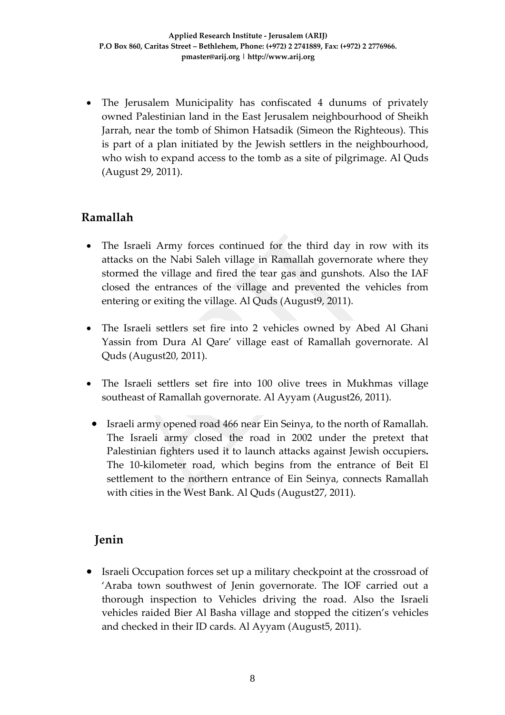• The Jerusalem Municipality has confiscated 4 dunums of privately owned Palestinian land in the East Jerusalem neighbourhood of Sheikh Jarrah, near the tomb of Shimon Hatsadik (Simeon the Righteous). This is part of a plan initiated by the Jewish settlers in the neighbourhood, who wish to expand access to the tomb as a site of pilgrimage. Al Quds (August 29, 2011).

## **Ramallah**

- The Israeli Army forces continued for the third day in row with its attacks on the Nabi Saleh village in Ramallah governorate where they stormed the village and fired the tear gas and gunshots. Also the IAF closed the entrances of the village and prevented the vehicles from entering or exiting the village. Al Quds (August9, 2011).
- The Israeli settlers set fire into 2 vehicles owned by Abed Al Ghani Yassin from Dura Al Qare' village east of Ramallah governorate. Al Quds (August20, 2011).
- The Israeli settlers set fire into 100 olive trees in Mukhmas village southeast of Ramallah governorate. Al Ayyam (August26, 2011).
	- Israeli army opened road 466 near Ein Seinya, to the north of Ramallah. The Israeli army closed the road in 2002 under the pretext that Palestinian fighters used it to launch attacks against Jewish occupiers**.** The 10-kilometer road, which begins from the entrance of Beit El settlement to the northern entrance of Ein Seinya, connects Ramallah with cities in the West Bank. Al Quds (August27, 2011).

## **Jenin**

• Israeli Occupation forces set up a military checkpoint at the crossroad of 'Araba town southwest of Jenin governorate. The IOF carried out a thorough inspection to Vehicles driving the road. Also the Israeli vehicles raided Bier Al Basha village and stopped the citizen's vehicles and checked in their ID cards. Al Ayyam (August5, 2011).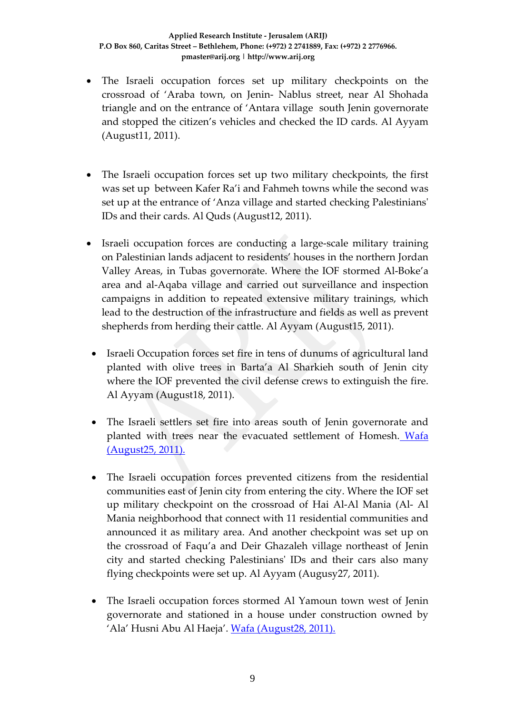- The Israeli occupation forces set up military checkpoints on the crossroad of 'Araba town, on Jenin‐ Nablus street, near Al Shohada triangle and on the entrance of 'Antara village south Jenin governorate and stopped the citizen's vehicles and checked the ID cards. Al Ayyam (August11, 2011).
- The Israeli occupation forces set up two military checkpoints, the first was set up between Kafer Ra'i and Fahmeh towns while the second was set up at the entrance of 'Anza village and started checking Palestiniansʹ IDs and their cards. Al Quds (August12, 2011).
- Israeli occupation forces are conducting a large-scale military training on Palestinian lands adjacent to residents' houses in the northern Jordan Valley Areas, in Tubas governorate. Where the IOF stormed Al‐Boke'a area and al‐Aqaba village and carried out surveillance and inspection campaigns in addition to repeated extensive military trainings, which lead to the destruction of the infrastructure and fields as well as prevent shepherds from herding their cattle. Al Ayyam (August15, 2011).
- Israeli Occupation forces set fire in tens of dunums of agricultural land planted with olive trees in Barta'a Al Sharkieh south of Jenin city where the IOF prevented the civil defense crews to extinguish the fire. Al Ayyam (August18, 2011).
- The Israeli settlers set fire into areas south of Jenin governorate and planted with trees near the evacuated settlement of Homesh. [Wafa](http://www.wafa.ps/arabic/index.php?action=detail&id=111740) [\(August25,](http://www.wafa.ps/arabic/index.php?action=detail&id=111740) 2011).
- The Israeli occupation forces prevented citizens from the residential communities east of Jenin city from entering the city. Where the IOF set up military checkpoint on the crossroad of Hai Al‐Al Mania (Al‐ Al Mania neighborhood that connect with 11 residential communities and announced it as military area. And another checkpoint was set up on the crossroad of Faqu'a and Deir Ghazaleh village northeast of Jenin city and started checking Palestiniansʹ IDs and their cars also many flying checkpoints were set up. Al Ayyam (Augusy27, 2011).
- The Israeli occupation forces stormed Al Yamoun town west of Jenin governorate and stationed in a house under construction owned by 'Ala' Husni Abu Al Haeja'. Wafa [\(August28,](http://www.wafa.ps/arabic/index.php?action=detail&id=111787) 2011).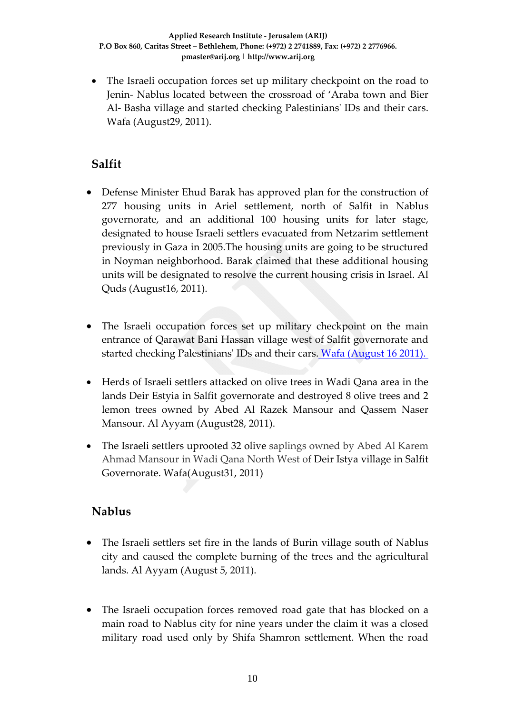• The Israeli occupation forces set up military checkpoint on the road to Jenin‐ Nablus located between the crossroad of 'Araba town and Bier Al‐ Basha village and started checking Palestiniansʹ IDs and their cars. Wafa (August29, 2011).

# **Salfit**

- Defense Minister Ehud Barak has approved plan for the construction of 277 housing units in Ariel settlement, north of Salfit in Nablus governorate, and an additional 100 housing units for later stage, designated to house Israeli settlers evacuated from Netzarim settlement previously in Gaza in 2005.The housing units are going to be structured in Noyman neighborhood. Barak claimed that these additional housing units will be designated to resolve the current housing crisis in Israel. Al Quds (August16, 2011).
- The Israeli occupation forces set up military checkpoint on the main entrance of Qarawat Bani Hassan village west of Salfit governorate and started checking Palestinians' IDs and their cars. *Wafa [\(August](http://www.wafa.ps/arabic/index.php?action=detail&id=111131) 16 2011).*
- Herds of Israeli settlers attacked on olive trees in Wadi Qana area in the lands Deir Estyia in Salfit governorate and destroyed 8 olive trees and 2 lemon trees owned by Abed Al Razek Mansour and Qassem Naser Mansour. Al Ayyam (August28, 2011).
- The Israeli settlers uprooted 32 olive saplings owned by Abed Al Karem Ahmad Mansour in Wadi Qana North West of Deir Istya village in Salfit Governorate. Wafa(August31, 2011)

## **Nablus**

- The Israeli settlers set fire in the lands of Burin village south of Nablus city and caused the complete burning of the trees and the agricultural lands. Al Ayyam (August 5, 2011).
- The Israeli occupation forces removed road gate that has blocked on a main road to Nablus city for nine years under the claim it was a closed military road used only by Shifa Shamron settlement. When the road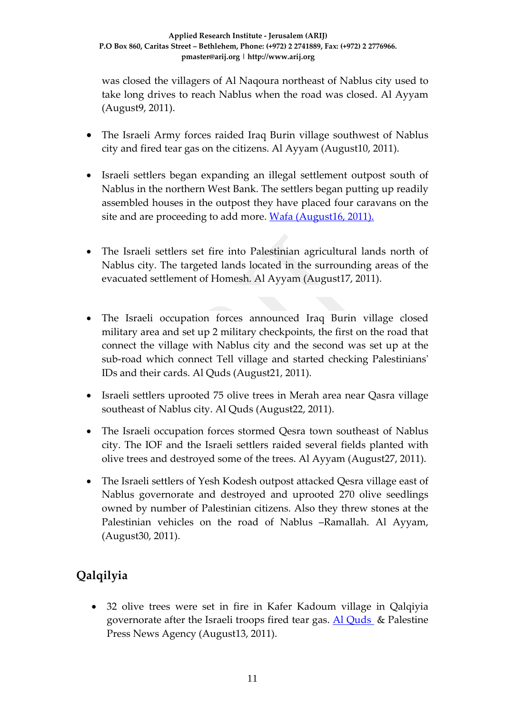was closed the villagers of Al Naqoura northeast of Nablus city used to take long drives to reach Nablus when the road was closed. Al Ayyam (August9, 2011).

- The Israeli Army forces raided Iraq Burin village southwest of Nablus city and fired tear gas on the citizens. Al Ayyam (August10, 2011).
- Israeli settlers began expanding an illegal settlement outpost south of Nablus in the northern West Bank. The settlers began putting up readily assembled houses in the outpost they have placed four caravans on the site and are proceeding to add more. Wafa [\(August16,](http://www.wafa.ps/arabic/index.php?action=detail&id=111090) 2011).
- The Israeli settlers set fire into Palestinian agricultural lands north of Nablus city. The targeted lands located in the surrounding areas of the evacuated settlement of Homesh. Al Ayyam (August17, 2011).
- The Israeli occupation forces announced Iraq Burin village closed military area and set up 2 military checkpoints, the first on the road that connect the village with Nablus city and the second was set up at the sub-road which connect Tell village and started checking Palestinians' IDs and their cards. Al Quds (August21, 2011).
- Israeli settlers uprooted 75 olive trees in Merah area near Qasra village southeast of Nablus city. Al Quds (August22, 2011).
- The Israeli occupation forces stormed Qesra town southeast of Nablus city. The IOF and the Israeli settlers raided several fields planted with olive trees and destroyed some of the trees. Al Ayyam (August27, 2011).
- The Israeli settlers of Yesh Kodesh outpost attacked Qesra village east of Nablus governorate and destroyed and uprooted 270 olive seedlings owned by number of Palestinian citizens. Also they threw stones at the Palestinian vehicles on the road of Nablus –Ramallah. Al Ayyam, (August30, 2011).

# **Qalqilyia**

• 32 olive trees were set in fire in Kafer Kadoum village in Qalqiyia governorate after the Israeli troops fired tear gas.  $\overline{Al}$  [Quds](http://www.alquds.com/news/article/view/id/287136) & Palestine Press News Agency (August13, 2011).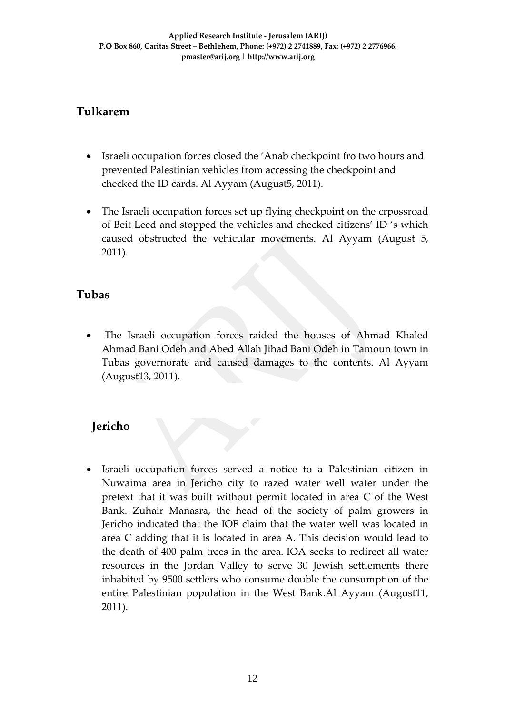## **Tulkarem**

- Israeli occupation forces closed the 'Anab checkpoint fro two hours and prevented Palestinian vehicles from accessing the checkpoint and checked the ID cards. Al Ayyam (August5, 2011).
- The Israeli occupation forces set up flying checkpoint on the crpossroad of Beit Leed and stopped the vehicles and checked citizens' ID 's which caused obstructed the vehicular movements. Al Ayyam (August 5, 2011).

## **Tubas**

The Israeli occupation forces raided the houses of Ahmad Khaled Ahmad Bani Odeh and Abed Allah Jihad Bani Odeh in Tamoun town in Tubas governorate and caused damages to the contents. Al Ayyam (August13, 2011).

# **Jericho**

• Israeli occupation forces served a notice to a Palestinian citizen in Nuwaima area in Jericho city to razed water well water under the pretext that it was built without permit located in area C of the West Bank. Zuhair Manasra, the head of the society of palm growers in Jericho indicated that the IOF claim that the water well was located in area C adding that it is located in area A. This decision would lead to the death of 400 palm trees in the area. IOA seeks to redirect all water resources in the Jordan Valley to serve 30 Jewish settlements there inhabited by 9500 settlers who consume double the consumption of the entire Palestinian population in the West Bank.Al Ayyam (August11, 2011).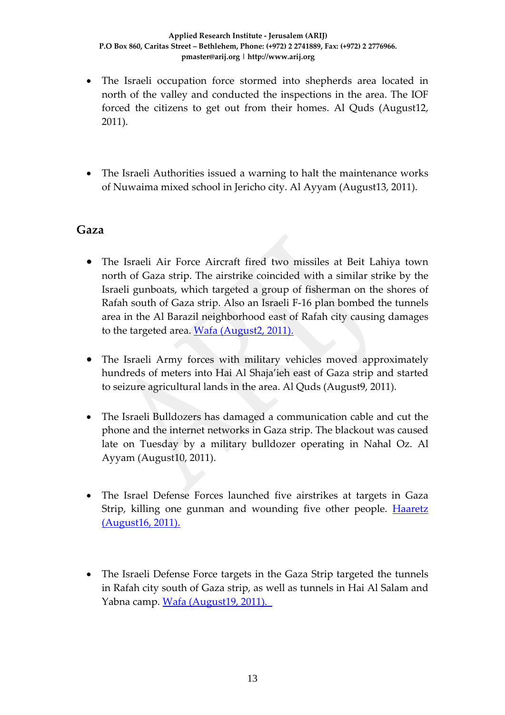- The Israeli occupation force stormed into shepherds area located in north of the valley and conducted the inspections in the area. The IOF forced the citizens to get out from their homes. Al Quds (August12, 2011).
- The Israeli Authorities issued a warning to halt the maintenance works of Nuwaima mixed school in Jericho city. Al Ayyam (August13, 2011).

### **Gaza**

- The Israeli Air Force Aircraft fired two missiles at Beit Lahiya town north of Gaza strip. The airstrike coincided with a similar strike by the Israeli gunboats, which targeted a group of fisherman on the shores of Rafah south of Gaza strip. Also an Israeli F‐16 plan bombed the tunnels area in the Al Barazil neighborhood east [of](http://www.wafa.ps/arabic/index.php?action=detail&id=110466) Rafah city causing damages to the targeted area. Wafa [\(August2,](http://www.wafa.ps/arabic/index.php?action=detail&id=110466) 2011).
- The Israeli Army forces with military vehicles moved approximately hundreds of meters into Hai Al Shaja'ieh east of Gaza strip and started to seizure agricultural lands in the area. Al Quds (August9, 2011).
- The Israeli Bulldozers has damaged a communication cable and cut the phone and the internet networks in Gaza strip. The blackout was caused late on Tuesday by a military bulldozer operating in Nahal Oz. Al Ayyam (August10, 2011).
- The Israel Defense Forces launched five airstrikes at targets in Gaza Strip, killing one gunman and wounding five other people. [Haaretz](http://www.haaretz.com/news/diplomacy-defense/idf-airstrike-on-gaza-strip-reportedly-kills-hamas-gunman-1.378866) [\(August16,](http://www.haaretz.com/news/diplomacy-defense/idf-airstrike-on-gaza-strip-reportedly-kills-hamas-gunman-1.378866) 2011).
- The Israeli Defense Force targets in the Gaza Strip targeted the tunnels in Rafah city south of Gaza strip, as well as tunnels in Hai Al Salam and Yabna camp. Wafa [\(August19,](http://www.wafa.ps/arabic/index.php?action=detail&id=111275) 2011).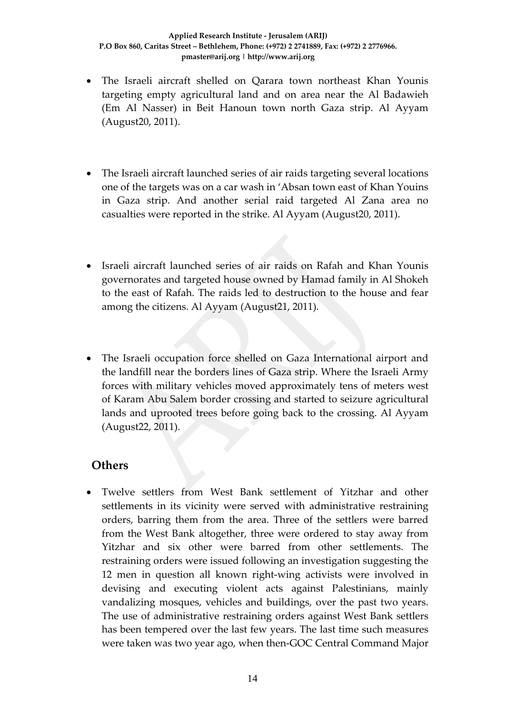- The Israeli aircraft shelled on Qarara town northeast Khan Younis targeting empty agricultural land and on area near the Al Badawieh (Em Al Nasser) in Beit Hanoun town north Gaza strip. Al Ayyam (August20, 2011).
- The Israeli aircraft launched series of air raids targeting several locations one of the targets was on a car wash in 'Absan town east of Khan Youins in Gaza strip. And another serial raid targeted Al Zana area no casualties were reported in the strike. Al Ayyam (August20, 2011).
- Israeli aircraft launched series of air raids on Rafah and Khan Younis governorates and targeted house owned by Hamad family in Al Shokeh to the east of Rafah. The raids led to destruction to the house and fear among the citizens. Al Ayyam (August21, 2011).
- The Israeli occupation force shelled on Gaza International airport and the landfill near the borders lines of Gaza strip. Where the Israeli Army forces with military vehicles moved approximately tens of meters west of Karam Abu Salem border crossing and started to seizure agricultural lands and uprooted trees before going back to the crossing. Al Ayyam (August22, 2011).

## **Others**

• Twelve settlers from West Bank settlement of Yitzhar and other settlements in its vicinity were served with administrative restraining orders, barring them from the area. Three of the settlers were barred from the West Bank altogether, three were ordered to stay away from Yitzhar and six other were barred from other settlements. The restraining orders were issued following an investigation suggesting the 12 men in question all known right‐wing activists were involved in devising and executing violent acts against Palestinians, mainly vandalizing mosques, vehicles and buildings, over the past two years. The use of administrative restraining orders against West Bank settlers has been tempered over the last few years. The last time such measures were taken was two year ago, when then‐GOC Central Command Major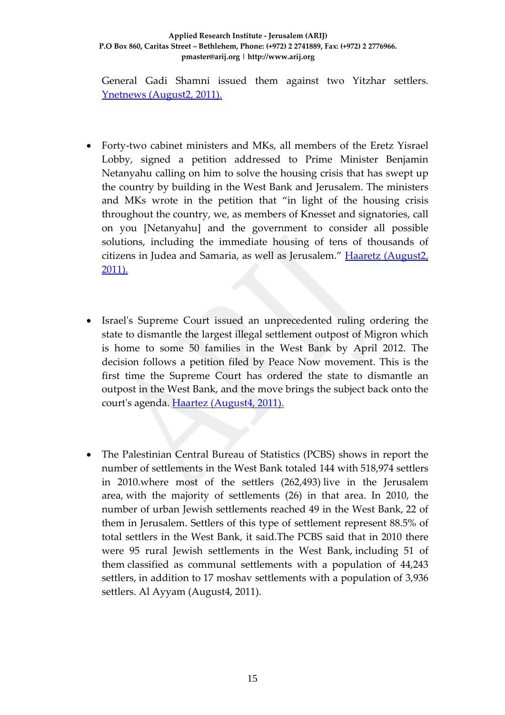#### **Applied Research Institute ‐ Jerusalem (ARIJ) P.O Box 860, Caritas Street – Bethlehem, Phone: (+972) 2 2741889, Fax: (+972) 2 2776966. pmaster@arij.org | http://www.arij.org**

General Gadi Shamni issued them against two Yitzhar settlers. Ynetnews (August2, 2011).

- Forty-two cabinet ministers and MKs, all members of the Eretz Yisrael Lobby, signed a petition addressed to Prime Minister Benjamin Netanyahu calling on him to solve the housing crisis that has swept up the country by building in the West Bank and Jerusalem. The ministers and MKs wrote in the petition that "in light of the housing crisis throughout the country, we, as members of Knesset and signatories, call on you [Netanyahu] and the government to consider all possible solutions, including the immediate housing of tens of thousands of citizens in Judea and Samaria, as well as Jerusalem." Haaretz [\(August2,](http://www.haaretz.com/news/national/dozens-of-mks-to-netanyhu-solve-israel-housing-crisis-by-building-in-west-bank-1.376604) [2011\).](http://www.haaretz.com/news/national/dozens-of-mks-to-netanyhu-solve-israel-housing-crisis-by-building-in-west-bank-1.376604)
- Israelʹs Supreme Court issued an unprecedented ruling ordering the state to dismantle the largest illegal settlement outpost of Migron which is home to some 50 families in the West Bank by April 2012. The decision follows a petition filed by Peace Now movement. This is the first time the Supreme Court has ordered the state to dismantle an outpost in the West Bank, and the move brings the subject back onto the court's agenda. Haartez [\(August4,](http://www.haaretz.com/news/diplomacy-defense/israel-s-supreme-court-orders-state-to-dismantle-largest-west-bank-outpost-1.376583) 2011).
- The Palestinian Central Bureau of Statistics (PCBS) shows in report the number of settlements in the West Bank totaled 144 with 518,974 settlers in 2010.where most of the settlers (262,493) live in the Jerusalem area, with the majority of settlements (26) in that area. In 2010, the number of urban Jewish settlements reached 49 in the West Bank, 22 of them in Jerusalem. Settlers of this type of settlement represent 88.5% of total settlers in the West Bank, it said.The PCBS said that in 2010 there were 95 rural Jewish settlements in the West Bank, including 51 of them classified as communal settlements with a population of 44,243 settlers, in addition to 17 moshav settlements with a population of 3,936 settlers. Al Ayyam (August4, 2011).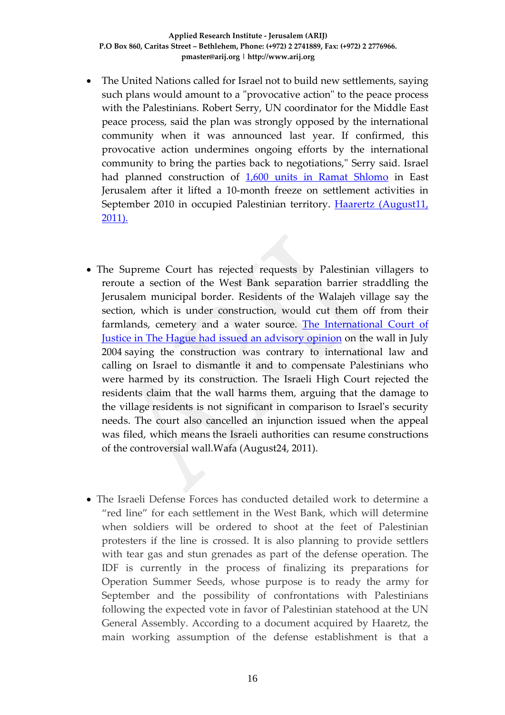- The United Nations called for Israel not to build new settlements, saying such plans would amount to a "provocative action" to the peace process with the Palestinians. Robert Serry, UN coordinator for the Middle East peace process, said the plan was strongly opposed by the international community when it was announced last year. If confirmed, this provocative action undermines ongoing efforts by the international community to bring the parties back to negotiations," Serry said. Israel had planned construction of 1,600 units in Ramat [Shlomo](http://www.haaretz.com/news/diplomacy-defense/israel-to-build-thousands-of-new-housing-units-in-east-jerusalem-1.378146) in East Jerusalem after it lifted a 10‐month freeze on settlement activities in September 2010 in occupied Palestinian territory. Haarertz [\(August11,](http://www.haaretz.com/news/diplomacy-defense/un-calls-on-israel-not-to-build-new-settlements-in-east-jerusalem-1.378218) [2011\).](http://www.haaretz.com/news/diplomacy-defense/un-calls-on-israel-not-to-build-new-settlements-in-east-jerusalem-1.378218)
- The Supreme Court has rejected requests by Palestinian villagers to reroute a section of the West Bank separation barrier straddling the Jerusalem municipal border. Residents of the Walajeh village say the section, which is under construction, would cut them off from their farmlands, cemetery and a water source. The [International](http://www.icj-cij.org/docket/index.php?pr=71&code=mwp&p1=3&p2=4&p3=6&ca) Court of Justice in The Hague had issued an [advisory](http://www.icj-cij.org/docket/index.php?pr=71&code=mwp&p1=3&p2=4&p3=6&ca) opinion on the wall in July 2004 saying the construction was contrary to international law and calling on Israel to dismantle it and to compensate Palestinians who were harmed by its construction. The Israeli High Court rejected the residents claim that the wall harms them, arguing that the damage to the village residents is not significant in comparison to Israelʹs security needs. The court also cancelled an injunction issued when the appeal was filed, which means the Israeli authorities can resume constructions of the controversial wall.Wafa (August24, 2011).
- The Israeli Defense Forces has conducted detailed work to determine a "red line" for each settlement in the West Bank, which will determine when soldiers will be ordered to shoot at the feet of Palestinian protesters if the line is crossed. It is also planning to provide settlers with tear gas and stun grenades as part of the defense operation. The IDF is currently in the process of finalizing its preparations for Operation Summer Seeds, whose purpose is to ready the army for September and the possibility of confrontations with Palestinians following the expected vote in favor of Palestinian statehood at the UN General Assembly. According to a document acquired by Haaretz, the main working assumption of the defense establishment is that a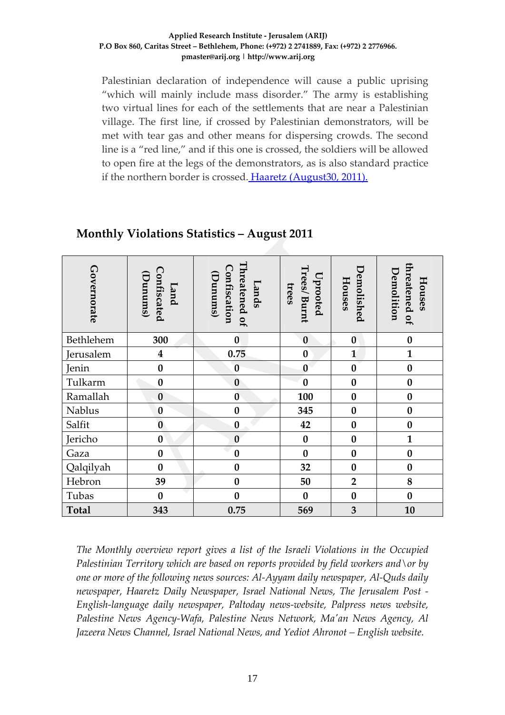#### **Applied Research Institute ‐ Jerusalem (ARIJ) P.O Box 860, Caritas Street – Bethlehem, Phone: (+972) 2 2741889, Fax: (+972) 2 2776966. pmaster@arij.org | http://www.arij.org**

Palestinian declaration of independence will cause a public uprising "which will mainly include mass disorder." The army is establishing two virtual lines for each of the settlements that are near a Palestinian village. The first line, if crossed by Palestinian demonstrators, will be met with tear gas and other means for dispersing crowds. The second line is a "red line," and if this one is crossed, the soldiers will be allowed to open fire at the legs of the demonstrators, as is also standard practice if the northern border is crossed. Haaretz (August30, 2011).

| Governorate  | Confiscated<br>(Dunums)<br>Land | Threatened of<br>Confiscation<br>(Punums)<br>Lands | Trees/ Burnt<br>Uprooted<br>trees | Demolished<br>Houses | threatened of<br>Demolition<br>Houses |
|--------------|---------------------------------|----------------------------------------------------|-----------------------------------|----------------------|---------------------------------------|
| Bethlehem    | 300                             | $\bf{0}$                                           | $\bf{0}$                          | $\bf{0}$             | $\bf{0}$                              |
| Jerusalem    | $\boldsymbol{4}$                | 0.75                                               | $\bf{0}$                          | $\mathbf{1}$         | $\mathbf{1}$                          |
| Jenin        | $\bf{0}$                        | $\bf{0}$                                           | $\mathbf{0}$                      | $\bf{0}$             | $\bf{0}$                              |
| Tulkarm      | $\bf{0}$                        | $\boldsymbol{0}$                                   | $\bf{0}$                          | $\boldsymbol{0}$     | $\bf{0}$                              |
| Ramallah     | $\bf{0}$                        | $\bf{0}$                                           | 100                               | $\boldsymbol{0}$     | $\bf{0}$                              |
| Nablus       | $\bf{0}$                        | $\bf{0}$                                           | 345                               | $\bf{0}$             | $\bf{0}$                              |
| Salfit       | $\bf{0}$                        | $\bf{0}$                                           | 42                                | $\boldsymbol{0}$     | $\bf{0}$                              |
| Jericho      | $\boldsymbol{0}$                | $\bf{0}$                                           | $\bf{0}$                          | $\boldsymbol{0}$     | $\mathbf{1}$                          |
| Gaza         | $\bf{0}$                        | $\bf{0}$                                           | $\bf{0}$                          | $\bf{0}$             | $\bf{0}$                              |
| Qalqilyah    | $\boldsymbol{0}$                | $\bf{0}$                                           | 32                                | $\bf{0}$             | $\boldsymbol{0}$                      |
| Hebron       | 39                              | $\bf{0}$                                           | 50                                | $\overline{2}$       | 8                                     |
| Tubas        | $\bf{0}$                        | $\bf{0}$                                           | $\bf{0}$                          | $\bf{0}$             | $\bf{0}$                              |
| <b>Total</b> | 343                             | 0.75                                               | 569                               | 3                    | 10                                    |

### **Monthly Violations Statistics – August 2011**

*The Monthly overview report gives a list of the Israeli Violations in the Occupied Palestinian Territory which are based on reports provided by field workers and\or by one or more of the following news sources: Al‐Ayyam daily newspaper, Al‐Quds daily newspaper, Haaretz Daily Newspaper, Israel National News, The Jerusalem Post ‐ English‐language daily newspaper, Paltoday news‐website, Palpress news website, Palestine News Agency‐Wafa, Palestine News Network, Maʹan News Agency, Al Jazeera News Channel, Israel National News, and Yediot Ahronot – English website.*